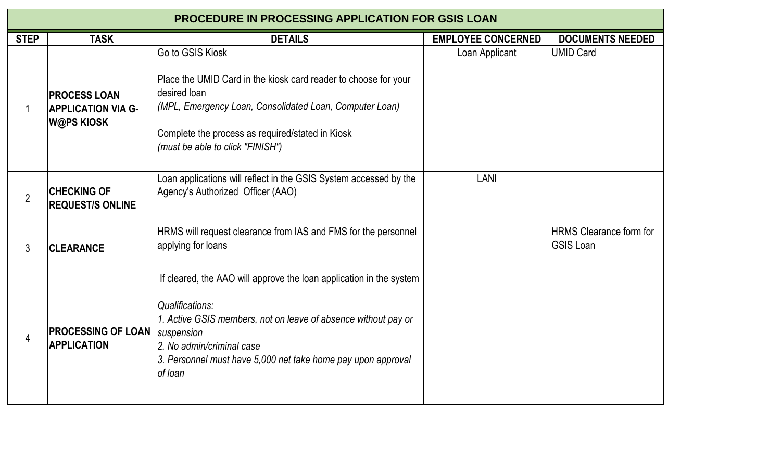| <b>PROCEDURE IN PROCESSING APPLICATION FOR GSIS LOAN</b> |                                                                |                                                                                                                                                                                                                                                                                       |                           |                                                    |  |  |  |
|----------------------------------------------------------|----------------------------------------------------------------|---------------------------------------------------------------------------------------------------------------------------------------------------------------------------------------------------------------------------------------------------------------------------------------|---------------------------|----------------------------------------------------|--|--|--|
| <b>STEP</b>                                              | <b>TASK</b>                                                    | <b>DETAILS</b>                                                                                                                                                                                                                                                                        | <b>EMPLOYEE CONCERNED</b> | <b>DOCUMENTS NEEDED</b>                            |  |  |  |
|                                                          | <b>PROCESS LOAN</b><br><b>APPLICATION VIA G-</b><br>W@PS KIOSK | Go to GSIS Kiosk<br>Place the UMID Card in the kiosk card reader to choose for your<br>desired loan<br>(MPL, Emergency Loan, Consolidated Loan, Computer Loan)<br>Complete the process as required/stated in Kiosk<br>(must be able to click "FINISH")                                | Loan Applicant            | <b>UMID Card</b>                                   |  |  |  |
| $\overline{2}$                                           | <b>CHECKING OF</b><br><b>REQUEST/S ONLINE</b>                  | Loan applications will reflect in the GSIS System accessed by the<br>Agency's Authorized Officer (AAO)                                                                                                                                                                                | LANI                      |                                                    |  |  |  |
| $3\overline{3}$                                          | <b>CLEARANCE</b>                                               | HRMS will request clearance from IAS and FMS for the personnel<br>applying for loans                                                                                                                                                                                                  |                           | <b>HRMS Clearance form for</b><br><b>GSIS Loan</b> |  |  |  |
| 4                                                        | <b>PROCESSING OF LOAN</b><br><b>APPLICATION</b>                | If cleared, the AAO will approve the loan application in the system<br><b>Qualifications:</b><br>1. Active GSIS members, not on leave of absence without pay or<br>suspension<br>2. No admin/criminal case<br>3. Personnel must have 5,000 net take home pay upon approval<br>of loan |                           |                                                    |  |  |  |